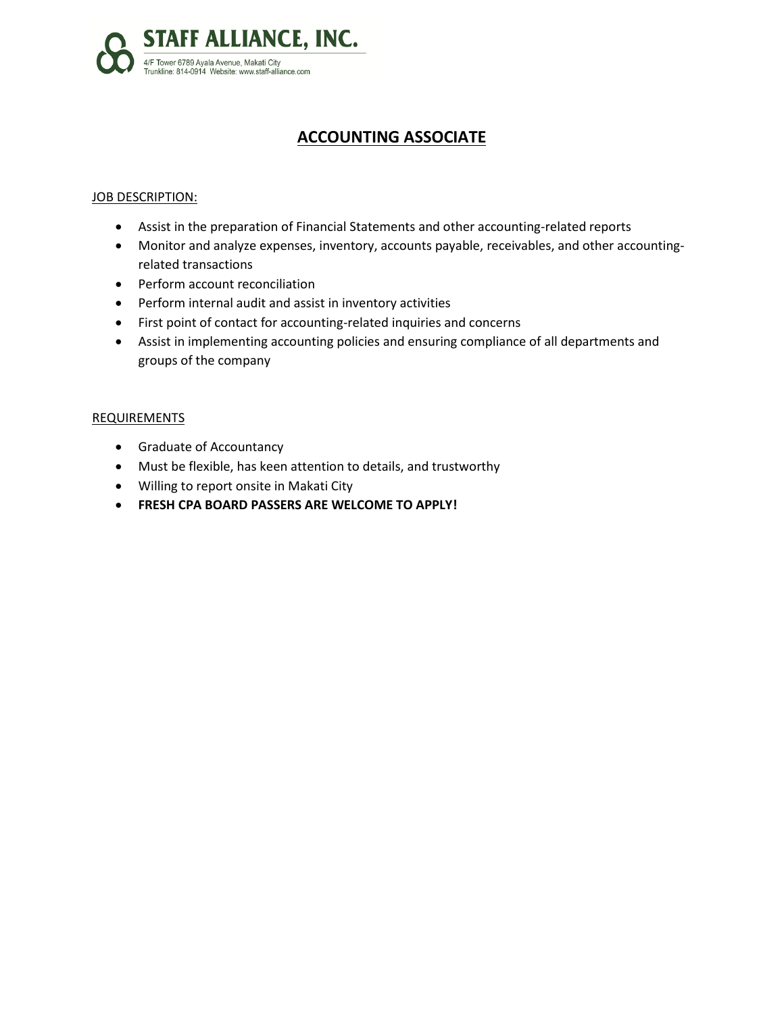

# **ACCOUNTING ASSOCIATE**

### JOB DESCRIPTION:

- Assist in the preparation of Financial Statements and other accounting-related reports
- Monitor and analyze expenses, inventory, accounts payable, receivables, and other accountingrelated transactions
- Perform account reconciliation
- Perform internal audit and assist in inventory activities
- First point of contact for accounting-related inquiries and concerns
- Assist in implementing accounting policies and ensuring compliance of all departments and groups of the company

#### REQUIREMENTS

- **•** Graduate of Accountancy
- Must be flexible, has keen attention to details, and trustworthy
- Willing to report onsite in Makati City
- **FRESH CPA BOARD PASSERS ARE WELCOME TO APPLY!**